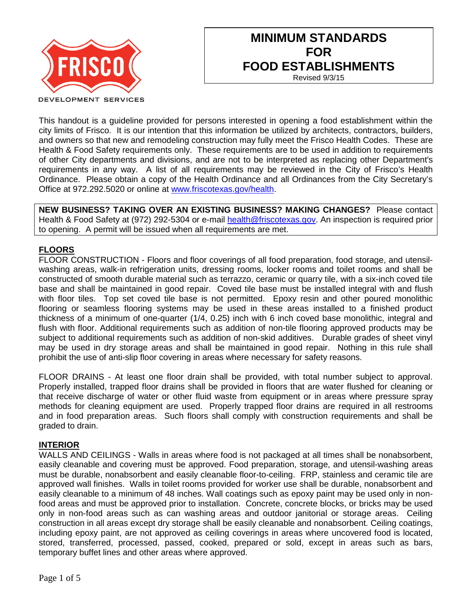

# **MINIMUM STANDARDS FOR FOOD ESTABLISHMENTS**

Revised 9/3/15

This handout is a guideline provided for persons interested in opening a food establishment within the city limits of Frisco. It is our intention that this information be utilized by architects, contractors, builders, and owners so that new and remodeling construction may fully meet the Frisco Health Codes. These are Health & Food Safety requirements only. These requirements are to be used in addition to requirements of other City departments and divisions, and are not to be interpreted as replacing other Department's requirements in any way. A list of all requirements may be reviewed in the City of Frisco's Health Ordinance. Please obtain a copy of the Health Ordinance and all Ordinances from the City Secretary's Office at 972.292.5020 or online at [www.friscotexas.gov/health.](http://www.friscotexas.gov/health)

**NEW BUSINESS? TAKING OVER AN EXISTING BUSINESS? MAKING CHANGES?** Please contact Health & Food Safety at (972) 292-5304 or e-mail [health@friscotexas.gov.](mailto:health@friscotexas.gov) An inspection is required prior to opening. A permit will be issued when all requirements are met.

## **FLOORS**

FLOOR CONSTRUCTION - Floors and floor coverings of all food preparation, food storage, and utensilwashing areas, walk-in refrigeration units, dressing rooms, locker rooms and toilet rooms and shall be constructed of smooth durable material such as terrazzo, ceramic or quarry tile, with a six-inch coved tile base and shall be maintained in good repair. Coved tile base must be installed integral with and flush with floor tiles. Top set coved tile base is not permitted. Epoxy resin and other poured monolithic flooring or seamless flooring systems may be used in these areas installed to a finished product thickness of a minimum of one-quarter (1/4, 0.25) inch with 6 inch coved base monolithic, integral and flush with floor. Additional requirements such as addition of non-tile flooring approved products may be subject to additional requirements such as addition of non-skid additives. Durable grades of sheet vinyl may be used in dry storage areas and shall be maintained in good repair. Nothing in this rule shall prohibit the use of anti-slip floor covering in areas where necessary for safety reasons.

FLOOR DRAINS - At least one floor drain shall be provided, with total number subject to approval. Properly installed, trapped floor drains shall be provided in floors that are water flushed for cleaning or that receive discharge of water or other fluid waste from equipment or in areas where pressure spray methods for cleaning equipment are used. Properly trapped floor drains are required in all restrooms and in food preparation areas. Such floors shall comply with construction requirements and shall be graded to drain.

## **INTERIOR**

WALLS AND CEILINGS - Walls in areas where food is not packaged at all times shall be nonabsorbent, easily cleanable and covering must be approved. Food preparation, storage, and utensil-washing areas must be durable, nonabsorbent and easily cleanable floor-to-ceiling. FRP, stainless and ceramic tile are approved wall finishes. Walls in toilet rooms provided for worker use shall be durable, nonabsorbent and easily cleanable to a minimum of 48 inches. Wall coatings such as epoxy paint may be used only in nonfood areas and must be approved prior to installation. Concrete, concrete blocks, or bricks may be used only in non-food areas such as can washing areas and outdoor janitorial or storage areas. Ceiling construction in all areas except dry storage shall be easily cleanable and nonabsorbent. Ceiling coatings, including epoxy paint, are not approved as ceiling coverings in areas where uncovered food is located, stored, transferred, processed, passed, cooked, prepared or sold, except in areas such as bars, temporary buffet lines and other areas where approved.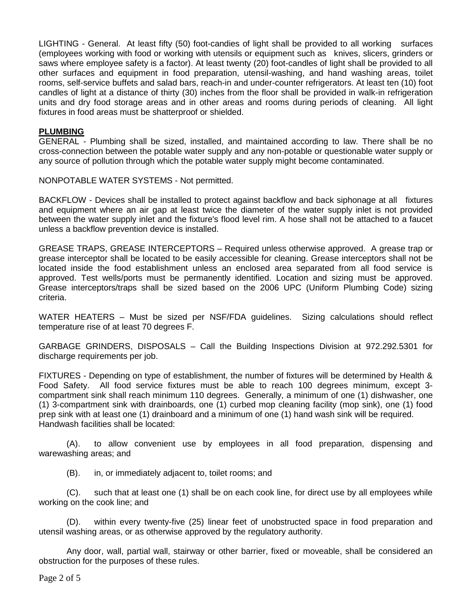LIGHTING - General. At least fifty (50) foot-candies of light shall be provided to all working surfaces (employees working with food or working with utensils or equipment such as knives, slicers, grinders or saws where employee safety is a factor). At least twenty (20) foot-candles of light shall be provided to all other surfaces and equipment in food preparation, utensil-washing, and hand washing areas, toilet rooms, self-service buffets and salad bars, reach-in and under-counter refrigerators. At least ten (10) foot candles of light at a distance of thirty (30) inches from the floor shall be provided in walk-in refrigeration units and dry food storage areas and in other areas and rooms during periods of cleaning. All light fixtures in food areas must be shatterproof or shielded.

#### **PLUMBING**

GENERAL - Plumbing shall be sized, installed, and maintained according to law. There shall be no cross-connection between the potable water supply and any non-potable or questionable water supply or any source of pollution through which the potable water supply might become contaminated.

NONPOTABLE WATER SYSTEMS - Not permitted.

BACKFLOW - Devices shall be installed to protect against backflow and back siphonage at all fixtures and equipment where an air gap at least twice the diameter of the water supply inlet is not provided between the water supply inlet and the fixture's flood level rim. A hose shall not be attached to a faucet unless a backflow prevention device is installed.

GREASE TRAPS, GREASE INTERCEPTORS – Required unless otherwise approved. A grease trap or grease interceptor shall be located to be easily accessible for cleaning. Grease interceptors shall not be located inside the food establishment unless an enclosed area separated from all food service is approved. Test wells/ports must be permanently identified. Location and sizing must be approved. Grease interceptors/traps shall be sized based on the 2006 UPC (Uniform Plumbing Code) sizing criteria.

WATER HEATERS – Must be sized per NSF/FDA guidelines. Sizing calculations should reflect temperature rise of at least 70 degrees F.

GARBAGE GRINDERS, DISPOSALS – Call the Building Inspections Division at 972.292.5301 for discharge requirements per job.

FIXTURES - Depending on type of establishment, the number of fixtures will be determined by Health & Food Safety. All food service fixtures must be able to reach 100 degrees minimum, except 3 compartment sink shall reach minimum 110 degrees. Generally, a minimum of one (1) dishwasher, one (1) 3-compartment sink with drainboards, one (1) curbed mop cleaning facility (mop sink), one (1) food prep sink with at least one (1) drainboard and a minimum of one (1) hand wash sink will be required. Handwash facilities shall be located:

(A). to allow convenient use by employees in all food preparation, dispensing and warewashing areas; and

(B). in, or immediately adjacent to, toilet rooms; and

(C). such that at least one (1) shall be on each cook line, for direct use by all employees while working on the cook line; and

(D). within every twenty-five (25) linear feet of unobstructed space in food preparation and utensil washing areas, or as otherwise approved by the regulatory authority.

Any door, wall, partial wall, stairway or other barrier, fixed or moveable, shall be considered an obstruction for the purposes of these rules.

Page 2 of 5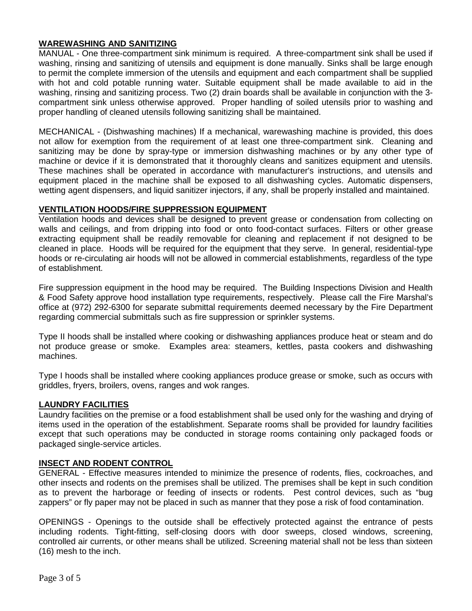### **WAREWASHING AND SANITIZING**

MANUAL - One three-compartment sink minimum is required. A three-compartment sink shall be used if washing, rinsing and sanitizing of utensils and equipment is done manually. Sinks shall be large enough to permit the complete immersion of the utensils and equipment and each compartment shall be supplied with hot and cold potable running water. Suitable equipment shall be made available to aid in the washing, rinsing and sanitizing process. Two (2) drain boards shall be available in conjunction with the 3 compartment sink unless otherwise approved. Proper handling of soiled utensils prior to washing and proper handling of cleaned utensils following sanitizing shall be maintained.

MECHANICAL - (Dishwashing machines) If a mechanical, warewashing machine is provided, this does not allow for exemption from the requirement of at least one three-compartment sink. Cleaning and sanitizing may be done by spray-type or immersion dishwashing machines or by any other type of machine or device if it is demonstrated that it thoroughly cleans and sanitizes equipment and utensils. These machines shall be operated in accordance with manufacturer's instructions, and utensils and equipment placed in the machine shall be exposed to all dishwashing cycles. Automatic dispensers, wetting agent dispensers, and liquid sanitizer injectors, if any, shall be properly installed and maintained.

#### **VENTILATION HOODS/FIRE SUPPRESSION EQUIPMENT**

Ventilation hoods and devices shall be designed to prevent grease or condensation from collecting on walls and ceilings, and from dripping into food or onto food-contact surfaces. Filters or other grease extracting equipment shall be readily removable for cleaning and replacement if not designed to be cleaned in place. Hoods will be required for the equipment that they serve. In general, residential-type hoods or re-circulating air hoods will not be allowed in commercial establishments, regardless of the type of establishment.

Fire suppression equipment in the hood may be required. The Building Inspections Division and Health & Food Safety approve hood installation type requirements, respectively. Please call the Fire Marshal's office at (972) 292-6300 for separate submittal requirements deemed necessary by the Fire Department regarding commercial submittals such as fire suppression or sprinkler systems.

Type II hoods shall be installed where cooking or dishwashing appliances produce heat or steam and do not produce grease or smoke. Examples area: steamers, kettles, pasta cookers and dishwashing machines.

Type I hoods shall be installed where cooking appliances produce grease or smoke, such as occurs with griddles, fryers, broilers, ovens, ranges and wok ranges.

## **LAUNDRY FACILITIES**

Laundry facilities on the premise or a food establishment shall be used only for the washing and drying of items used in the operation of the establishment. Separate rooms shall be provided for laundry facilities except that such operations may be conducted in storage rooms containing only packaged foods or packaged single-service articles.

#### **INSECT AND RODENT CONTROL**

GENERAL - Effective measures intended to minimize the presence of rodents, flies, cockroaches, and other insects and rodents on the premises shall be utilized. The premises shall be kept in such condition as to prevent the harborage or feeding of insects or rodents. Pest control devices, such as "bug zappers" or fly paper may not be placed in such as manner that they pose a risk of food contamination.

OPENINGS - Openings to the outside shall be effectively protected against the entrance of pests including rodents. Tight-fitting, self-closing doors with door sweeps, closed windows, screening, controlled air currents, or other means shall be utilized. Screening material shall not be less than sixteen (16) mesh to the inch.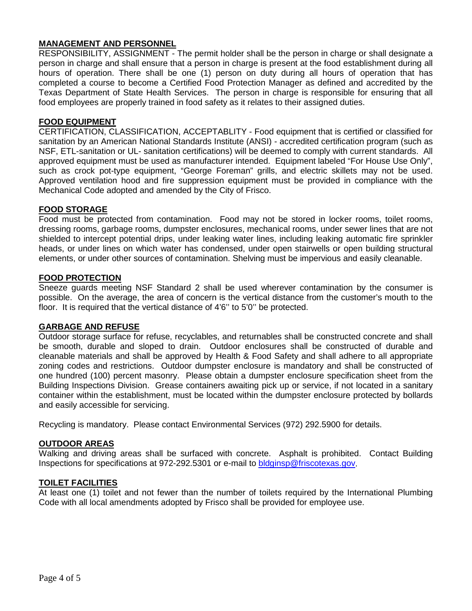## **MANAGEMENT AND PERSONNEL**

RESPONSIBILITY, ASSIGNMENT - The permit holder shall be the person in charge or shall designate a person in charge and shall ensure that a person in charge is present at the food establishment during all hours of operation. There shall be one (1) person on duty during all hours of operation that has completed a course to become a Certified Food Protection Manager as defined and accredited by the Texas Department of State Health Services. The person in charge is responsible for ensuring that all food employees are properly trained in food safety as it relates to their assigned duties.

#### **FOOD EQUIPMENT**

CERTIFICATION, CLASSIFICATION, ACCEPTABLITY - Food equipment that is certified or classified for sanitation by an American National Standards Institute (ANSI) - accredited certification program (such as NSF, ETL-sanitation or UL- sanitation certifications) will be deemed to comply with current standards. All approved equipment must be used as manufacturer intended. Equipment labeled "For House Use Only", such as crock pot-type equipment, "George Foreman" grills, and electric skillets may not be used. Approved ventilation hood and fire suppression equipment must be provided in compliance with the Mechanical Code adopted and amended by the City of Frisco.

#### **FOOD STORAGE**

Food must be protected from contamination. Food may not be stored in locker rooms, toilet rooms, dressing rooms, garbage rooms, dumpster enclosures, mechanical rooms, under sewer lines that are not shielded to intercept potential drips, under leaking water lines, including leaking automatic fire sprinkler heads, or under lines on which water has condensed, under open stairwells or open building structural elements, or under other sources of contamination. Shelving must be impervious and easily cleanable.

#### **FOOD PROTECTION**

Sneeze guards meeting NSF Standard 2 shall be used wherever contamination by the consumer is possible. On the average, the area of concern is the vertical distance from the customer's mouth to the floor. It is required that the vertical distance of 4'6'' to 5'0'' be protected.

#### **GARBAGE AND REFUSE**

Outdoor storage surface for refuse, recyclables, and returnables shall be constructed concrete and shall be smooth, durable and sloped to drain. Outdoor enclosures shall be constructed of durable and cleanable materials and shall be approved by Health & Food Safety and shall adhere to all appropriate zoning codes and restrictions. Outdoor dumpster enclosure is mandatory and shall be constructed of one hundred (100) percent masonry. Please obtain a dumpster enclosure specification sheet from the Building Inspections Division. Grease containers awaiting pick up or service, if not located in a sanitary container within the establishment, must be located within the dumpster enclosure protected by bollards and easily accessible for servicing.

Recycling is mandatory. Please contact Environmental Services (972) 292.5900 for details.

#### **OUTDOOR AREAS**

Walking and driving areas shall be surfaced with concrete. Asphalt is prohibited. Contact Building Inspections for specifications at 972-292.5301 or e-mail to [bldginsp@friscotexas.gov.](mailto:bldginsp@friscotexas.gov)

#### **TOILET FACILITIES**

At least one (1) toilet and not fewer than the number of toilets required by the International Plumbing Code with all local amendments adopted by Frisco shall be provided for employee use.